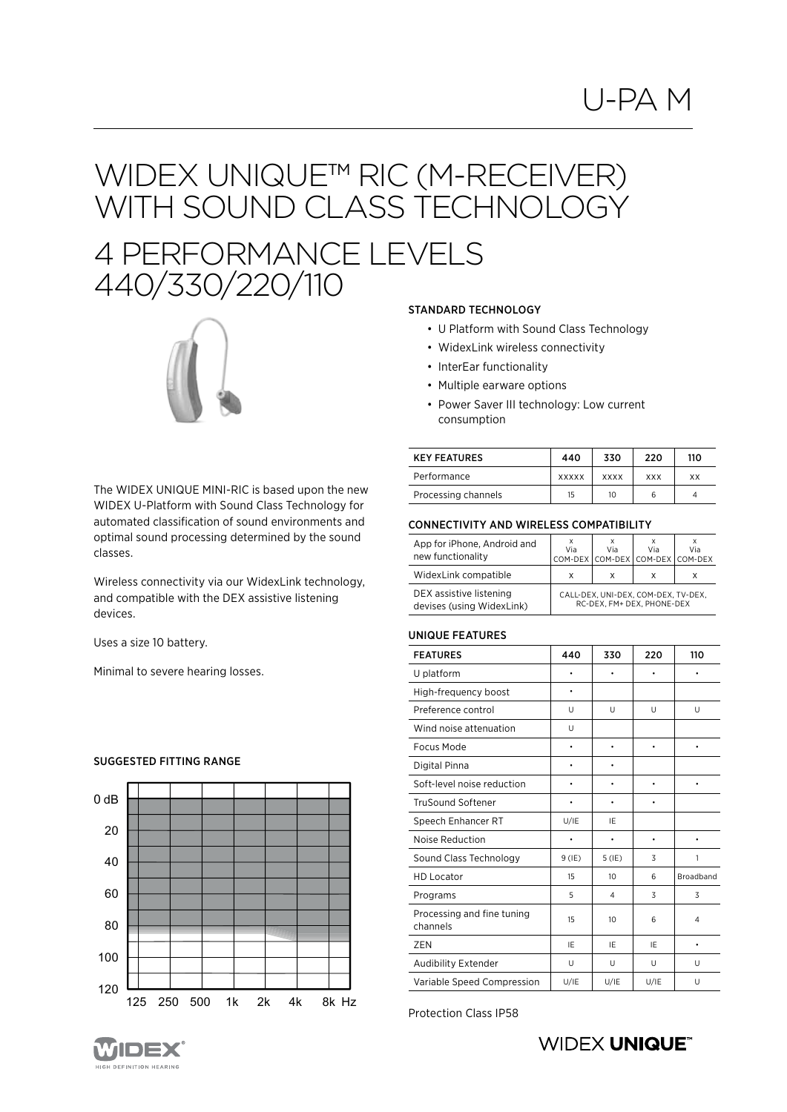# WIDEX UNIQUETM RIC (M-RECEIVER) WITH SOUND CLASS TECHNOLOGY 4 PERFORMANCE LEVELS



STANDARD TECHNOLOGY

- U Platform with Sound Class Technology
- WidexLink wireless connectivity
- InterEar functionality
- Multiple earware options
- Power Saver III technology: Low current consumption

The WIDEX UNIQUE MINI-RIC is based upon the new WIDEX U-Platform with Sound Class Technology for automated classification of sound environments and optimal sound processing determined by the sound classes.

Wireless connectivity via our WidexLink technology, and compatible with the DEX assistive listening devices.

Uses a size 10 battery.

Minimal to severe hearing losses.



### SUGGESTED FITTING RANGE

- 
- 
- 

| <b>KEY FEATURES</b> | 440          | 330         | 220        | 110 |
|---------------------|--------------|-------------|------------|-----|
| Performance         | <b>XXXXX</b> | <b>XXXX</b> | <b>XXX</b> | ХX  |
| Processing channels | 15           | 10          |            |     |

#### CONNECTIVITY AND WIRELESS COMPATIBILITY

| App for iPhone, Android and<br>new functionality     | Via | Via | Via<br>COM-DEX COM-DEX COM-DEX COM-DEX                            | Via |
|------------------------------------------------------|-----|-----|-------------------------------------------------------------------|-----|
| WidexLink compatible                                 | X   | x   | x                                                                 | x   |
| DEX assistive listening<br>devises (using WidexLink) |     |     | CALL-DEX, UNI-DEX, COM-DEX, TV-DEX,<br>RC-DEX. FM+ DEX. PHONE-DEX |     |

#### UNIQUE FEATURES

| <b>FEATURES</b>                        | 440      | 330      | 220  | 110       |
|----------------------------------------|----------|----------|------|-----------|
| U platform                             |          |          |      |           |
| High-frequency boost                   | ٠        |          |      |           |
| Preference control                     | U        | U        | U    | U         |
| Wind noise attenuation                 | U        |          |      |           |
| Focus Mode                             | ٠        | ٠        |      | ۰         |
| Digital Pinna                          |          |          |      |           |
| Soft-level noise reduction             | ٠        |          |      | ٠         |
| <b>TruSound Softener</b>               | ٠        |          |      |           |
| Speech Enhancer RT                     | U/IE     | IE       |      |           |
| Noise Reduction                        |          | ٠        | ٠    |           |
| Sound Class Technology                 | $9$ (IE) | $5$ (IE) | 3    | 1         |
| <b>HD Locator</b>                      | 15       | 10       | 6    | Broadband |
| Programs                               | 5        | 4        | 3    | 3         |
| Processing and fine tuning<br>channels | 15       | 10       | 6    | 4         |
| ZEN                                    | IE       | IE       | IF   | $\bullet$ |
| Audibility Extender                    | U        | U        | U    | U         |
| Variable Speed Compression             | U/IE     | U/IE     | U/IE | U         |

Protection Class IP58



### **WIDEX UNIQUE®**